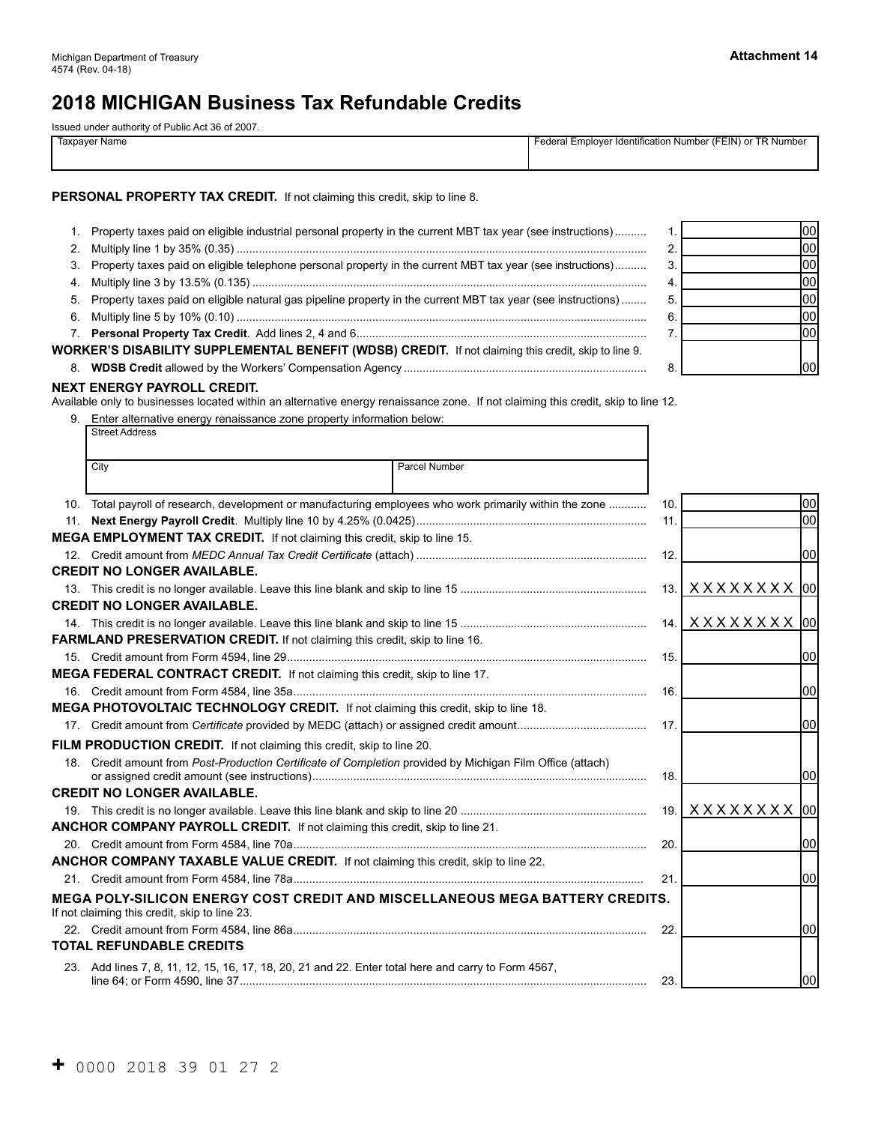L

# **2018 MICHIGAN Business Tax Refundable Credits**

Issued under authority of Public Act 36 of 2007.

| ____                          |                                                            |
|-------------------------------|------------------------------------------------------------|
| <sup>.</sup> Name<br>laxnaver | Federal Employer Identification Number (FEIN) or TR Number |
|                               |                                                            |

#### PERSONAL PROPERTY TAX CREDIT. If not claiming this credit, skip to line 8.

|    | Property taxes paid on eligible industrial personal property in the current MBT tax year (see instructions)     |    |  |
|----|-----------------------------------------------------------------------------------------------------------------|----|--|
|    |                                                                                                                 |    |  |
| 3. | Property taxes paid on eligible telephone personal property in the current MBT tax year (see instructions)      |    |  |
| 4. |                                                                                                                 | 4. |  |
|    | 5. Property taxes paid on eligible natural gas pipeline property in the current MBT tax year (see instructions) | 5  |  |
| 6. |                                                                                                                 |    |  |
| 7. |                                                                                                                 |    |  |
|    | WORKER'S DISABILITY SUPPLEMENTAL BENEFIT (WDSB) CREDIT. If not claiming this credit, skip to line 9.            |    |  |
| 8. |                                                                                                                 |    |  |
|    |                                                                                                                 |    |  |

#### **NEXT ENERGY PAYROLL CREDIT.**

Available only to businesses located within an alternative energy renaissance zone. If not claiming this credit, skip to line 12.

|     | 9. Enter alternative energy renaissance zone property information below:                                                             |      |                            |
|-----|--------------------------------------------------------------------------------------------------------------------------------------|------|----------------------------|
|     | <b>Street Address</b>                                                                                                                |      |                            |
|     | <b>Parcel Number</b><br>City                                                                                                         |      |                            |
|     | 10. Total payroll of research, development or manufacturing employees who work primarily within the zone                             | 10.  | 00                         |
| 11. |                                                                                                                                      | 11.  | loo                        |
|     | MEGA EMPLOYMENT TAX CREDIT. If not claiming this credit, skip to line 15.                                                            |      |                            |
|     |                                                                                                                                      | 12.  | 100                        |
|     | <b>CREDIT NO LONGER AVAILABLE.</b>                                                                                                   |      |                            |
|     |                                                                                                                                      |      | 13. XXXXXXXX 00            |
|     | <b>CREDIT NO LONGER AVAILABLE.</b>                                                                                                   |      |                            |
|     |                                                                                                                                      |      | 14.   X X X X X X X X   00 |
|     | FARMLAND PRESERVATION CREDIT. If not claiming this credit, skip to line 16.                                                          |      |                            |
|     |                                                                                                                                      | 15.  | 100                        |
|     | MEGA FEDERAL CONTRACT CREDIT. If not claiming this credit, skip to line 17.                                                          |      |                            |
|     |                                                                                                                                      | 16.  | 100                        |
|     | MEGA PHOTOVOLTAIC TECHNOLOGY CREDIT. If not claiming this credit, skip to line 18.                                                   |      |                            |
|     |                                                                                                                                      | 17.  | 100                        |
|     | FILM PRODUCTION CREDIT. If not claiming this credit, skip to line 20.                                                                |      |                            |
|     | 18. Credit amount from Post-Production Certificate of Completion provided by Michigan Film Office (attach)                           | 18.  | 100                        |
|     | <b>CREDIT NO LONGER AVAILABLE.</b>                                                                                                   |      |                            |
|     |                                                                                                                                      | 19.  | X X X X X X X   00         |
|     | ANCHOR COMPANY PAYROLL CREDIT. If not claiming this credit, skip to line 21.                                                         |      |                            |
|     |                                                                                                                                      | 20.  | 100                        |
|     | ANCHOR COMPANY TAXABLE VALUE CREDIT. If not claiming this credit, skip to line 22.                                                   |      |                            |
|     |                                                                                                                                      | 21.  | 100                        |
|     | <b>MEGA POLY-SILICON ENERGY COST CREDIT AND MISCELLANEOUS MEGA BATTERY CREDITS.</b><br>If not claiming this credit, skip to line 23. |      |                            |
|     |                                                                                                                                      | -22. | 100                        |
|     | <b>TOTAL REFUNDABLE CREDITS</b>                                                                                                      |      |                            |
|     | 23. Add lines 7, 8, 11, 12, 15, 16, 17, 18, 20, 21 and 22. Enter total here and carry to Form 4567,                                  | 23.  | 100                        |

00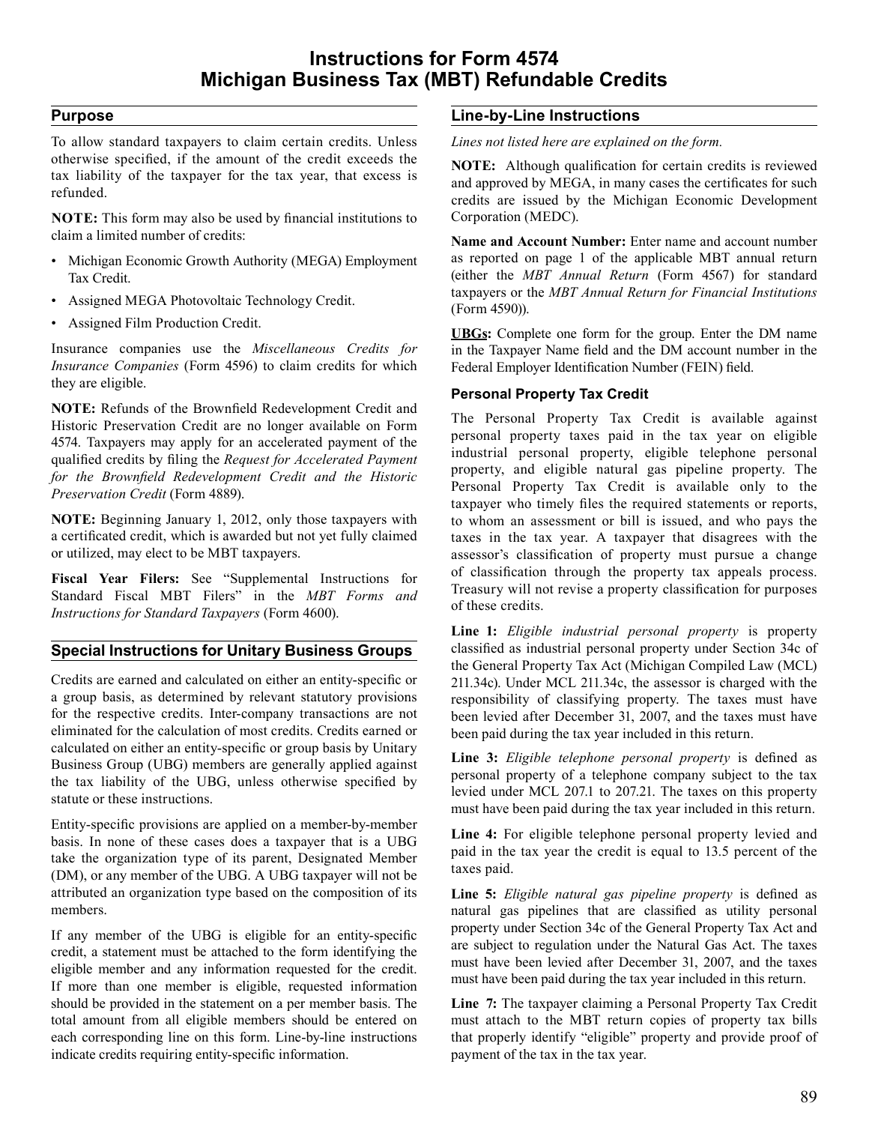# **Purpose**

 To allow standard taxpayers to claim certain credits. Unless otherwise specified, if the amount of the credit exceeds the tax liability of the taxpayer for the tax year, that excess is refunded.

 **NOTE:** This form may also be used by financial institutions to claim a limited number of credits:

- Michigan Economic Growth Authority (MEGA) Employment Tax Credit.
- Assigned MEGA Photovoltaic Technology Credit.
- Assigned Film Production Credit.

 Insurance companies use the *Miscellaneous Credits for Insurance Companies* (Form 4596) to claim credits for which they are eligible.

 **NOTE:** Refunds of the Brownfield Redevelopment Credit and Historic Preservation Credit are no longer available on Form 4574. Taxpayers may apply for an accelerated payment of the qualified credits by filing the *Request for Accelerated Payment Preservation Credit* (Form 4889). *for the Brownfield Redevelopment Credit and the Historic* 

 **NOTE:** Beginning January 1, 2012, only those taxpayers with a certificated credit, which is awarded but not yet fully claimed or utilized, may elect to be MBT taxpayers.

 **Fiscal Year Filers:** See "Supplemental Instructions for Standard Fiscal MBT Filers" in the *MBT Forms and Instructions for Standard Taxpayers* (Form 4600).

# **Special Instructions for Unitary Business Groups**

 Credits are earned and calculated on either an entity-specific or a group basis, as determined by relevant statutory provisions for the respective credits. Inter-company transactions are not eliminated for the calculation of most credits. Credits earned or calculated on either an entity-specific or group basis by Unitary Business Group (UBG) members are generally applied against the tax liability of the UBG, unless otherwise specified by statute or these instructions.

 Entity-specific provisions are applied on a member-by-member basis. In none of these cases does a taxpayer that is a UBG take the organization type of its parent, Designated Member (DM), or any member of the UBG. A UBG taxpayer will not be attributed an organization type based on the composition of its members.

 If any member of the UBG is eligible for an entity-specific credit, a statement must be attached to the form identifying the eligible member and any information requested for the credit. If more than one member is eligible, requested information should be provided in the statement on a per member basis. The total amount from all eligible members should be entered on each corresponding line on this form. Line-by-line instructions indicate credits requiring entity-specific information.

# **Line-by-Line Instructions**

*Lines not listed here are explained on the form.* 

 **NOTE:** Although qualification for certain credits is reviewed and approved by MEGA, in many cases the certificates for such credits are issued by the Michigan Economic Development Corporation (MEDC).

 **Name and Account Number:** Enter name and account number as reported on page 1 of the applicable MBT annual return (either the *MBT Annual Return* (Form 4567) for standard taxpayers or the *MBT Annual Return for Financial Institutions*  (Form 4590)).

 **UBGs:** Complete one form for the group. Enter the DM name in the Taxpayer Name field and the DM account number in the Federal Employer Identification Number (FEIN) field.

# **Personal Property Tax Credit**

 The Personal Property Tax Credit is available against personal property taxes paid in the tax year on eligible industrial personal property, eligible telephone personal property, and eligible natural gas pipeline property. The Personal Property Tax Credit is available only to the taxpayer who timely files the required statements or reports, to whom an assessment or bill is issued, and who pays the taxes in the tax year. A taxpayer that disagrees with the assessor's classification of property must pursue a change of classification through the property tax appeals process. Treasury will not revise a property classification for purposes of these credits.

 **Line 1:** *Eligible industrial personal property* is property classified as industrial personal property under Section 34c of the General Property Tax Act (Michigan Compiled Law (MCL) 211.34c). Under MCL 211.34c, the assessor is charged with the responsibility of classifying property. The taxes must have been levied after December 31, 2007, and the taxes must have been paid during the tax year included in this return.

 **Line 3:** *Eligible telephone personal property* is defined as personal property of a telephone company subject to the tax levied under MCL 207.1 to 207.21. The taxes on this property must have been paid during the tax year included in this return.

 **Line 4:** For eligible telephone personal property levied and paid in the tax year the credit is equal to 13.5 percent of the taxes paid.

 **Line 5:** *Eligible natural gas pipeline property* is defined as natural gas pipelines that are classified as utility personal property under Section 34c of the General Property Tax Act and are subject to regulation under the Natural Gas Act. The taxes must have been levied after December 31, 2007, and the taxes must have been paid during the tax year included in this return.

 **Line 7:** The taxpayer claiming a Personal Property Tax Credit must attach to the MBT return copies of property tax bills that properly identify "eligible" property and provide proof of payment of the tax in the tax year.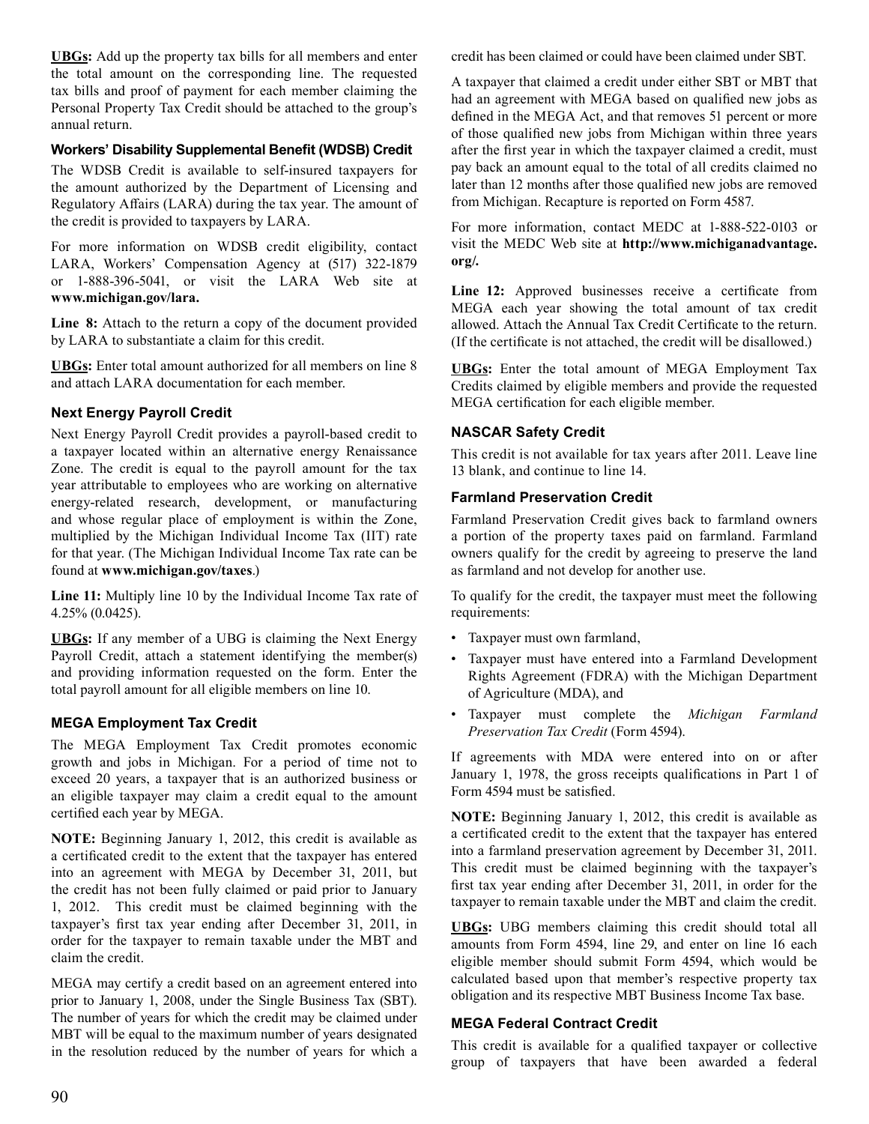**UBGs:** Add up the property tax bills for all members and enter the total amount on the corresponding line. The requested tax bills and proof of payment for each member claiming the Personal Property Tax Credit should be attached to the group's annual return.

### **Workers' Disability Supplemental Benefit (WDSB) Credit**

 The WDSB Credit is available to self-insured taxpayers for the amount authorized by the Department of Licensing and Regulatory Affairs (LARA) during the tax year. The amount of the credit is provided to taxpayers by LARA.

 For more information on WDSB credit eligibility, contact LARA, Workers' Compensation Agency at (517) 322-1879 or 1-888-396-5041, or visit the LARA Web site at **www.michigan.gov/lara.** 

 **Line 8:** Attach to the return a copy of the document provided by LARA to substantiate a claim for this credit.

 **UBGs:** Enter total amount authorized for all members on line 8 and attach LARA documentation for each member.

# **Next Energy Payroll Credit**

 Next Energy Payroll Credit provides a payroll-based credit to a taxpayer located within an alternative energy Renaissance Zone. The credit is equal to the payroll amount for the tax year attributable to employees who are working on alternative energy-related research, development, or manufacturing and whose regular place of employment is within the Zone, multiplied by the Michigan Individual Income Tax (IIT) rate for that year. (The Michigan Individual Income Tax rate can be found at **www.michigan.gov/taxes**.)

 **Line 11:** Multiply line 10 by the Individual Income Tax rate of 4.25% (0.0425).

 **UBGs:** If any member of a UBG is claiming the Next Energy Payroll Credit, attach a statement identifying the member(s) and providing information requested on the form. Enter the total payroll amount for all eligible members on line 10.

# **MEGA Employment Tax Credit**

 The MEGA Employment Tax Credit promotes economic growth and jobs in Michigan. For a period of time not to exceed 20 years, a taxpayer that is an authorized business or an eligible taxpayer may claim a credit equal to the amount certified each year by MEGA.

 **NOTE:** Beginning January 1, 2012, this credit is available as a certificated credit to the extent that the taxpayer has entered into an agreement with MEGA by December 31, 2011, but the credit has not been fully claimed or paid prior to January 1, 2012. This credit must be claimed beginning with the taxpayer's first tax year ending after December 31, 2011, in order for the taxpayer to remain taxable under the MBT and claim the credit.

 MEGA may certify a credit based on an agreement entered into prior to January 1, 2008, under the Single Business Tax (SBT). The number of years for which the credit may be claimed under MBT will be equal to the maximum number of years designated in the resolution reduced by the number of years for which a  credit has been claimed or could have been claimed under SBT.

 A taxpayer that claimed a credit under either SBT or MBT that had an agreement with MEGA based on qualified new jobs as defined in the MEGA Act, and that removes 51 percent or more of those qualified new jobs from Michigan within three years after the first year in which the taxpayer claimed a credit, must pay back an amount equal to the total of all credits claimed no later than 12 months after those qualified new jobs are removed from Michigan. Recapture is reported on Form 4587.

 For more information, contact MEDC at 1-888-522-0103 or visit the MEDC Web site at **http://www.michiganadvantage. org/.** 

 **Line 12:** Approved businesses receive a certificate from MEGA each year showing the total amount of tax credit allowed. Attach the Annual Tax Credit Certificate to the return. (If the certificate is not attached, the credit will be disallowed.)

 **UBGs:** Enter the total amount of MEGA Employment Tax Credits claimed by eligible members and provide the requested MEGA certification for each eligible member.

# **NASCAR Safety Credit**

 This credit is not available for tax years after 2011. Leave line 13 blank, and continue to line 14.

# **Farmland Preservation Credit**

 Farmland Preservation Credit gives back to farmland owners a portion of the property taxes paid on farmland. Farmland owners qualify for the credit by agreeing to preserve the land as farmland and not develop for another use.

 To qualify for the credit, the taxpayer must meet the following requirements:

- Taxpayer must own farmland,
- Taxpayer must have entered into a Farmland Development Rights Agreement (FDRA) with the Michigan Department of Agriculture (MDA), and
- Taxpayer must complete the *Michigan Farmland Preservation Tax Credit* (Form 4594).

 If agreements with MDA were entered into on or after January 1, 1978, the gross receipts qualifications in Part 1 of Form 4594 must be satisfied.

 **NOTE:** Beginning January 1, 2012, this credit is available as a certificated credit to the extent that the taxpayer has entered into a farmland preservation agreement by December 31, 2011. This credit must be claimed beginning with the taxpayer's first tax year ending after December 31, 2011, in order for the taxpayer to remain taxable under the MBT and claim the credit.

 **UBGs:** UBG members claiming this credit should total all amounts from Form 4594, line 29, and enter on line 16 each eligible member should submit Form 4594, which would be calculated based upon that member's respective property tax obligation and its respective MBT Business Income Tax base.

# **MEGA Federal Contract Credit**

 This credit is available for a qualified taxpayer or collective group of taxpayers that have been awarded a federal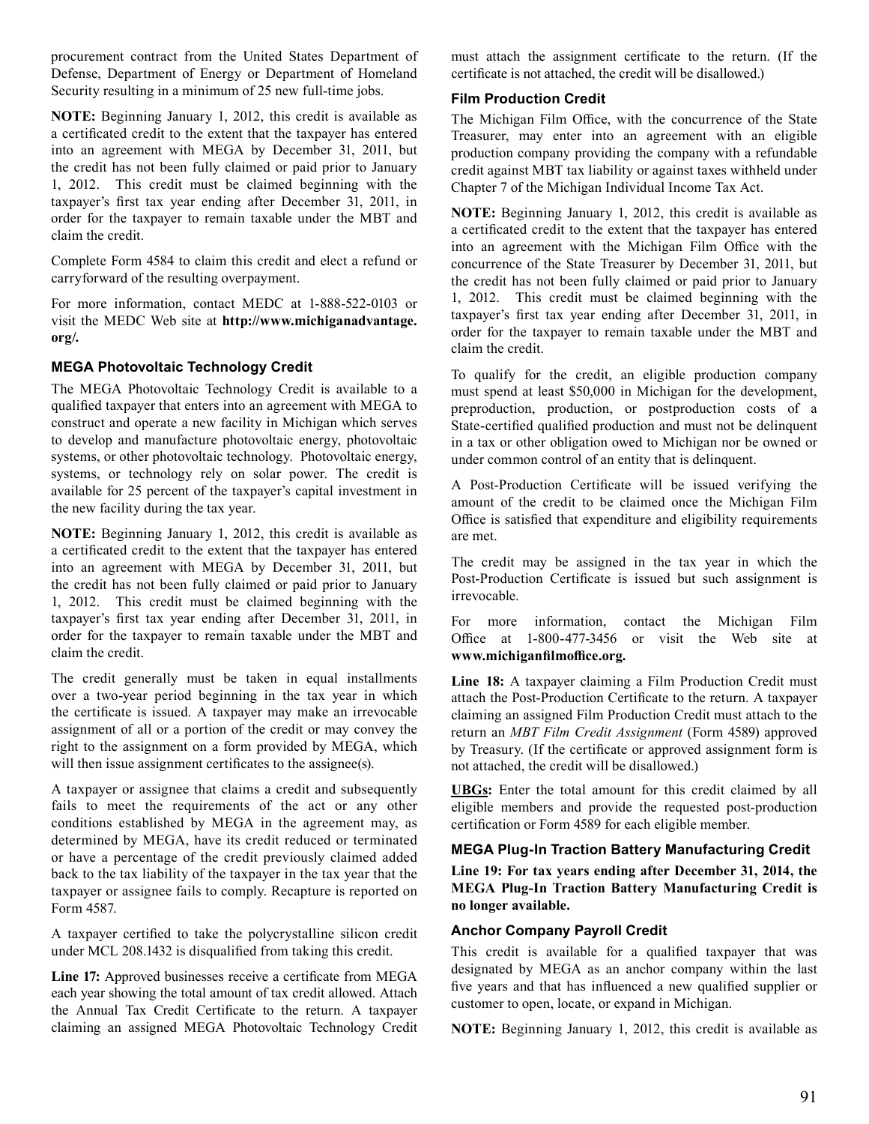procurement contract from the United States Department of Defense, Department of Energy or Department of Homeland Security resulting in a minimum of 25 new full-time jobs.

 **NOTE:** Beginning January 1, 2012, this credit is available as a certificated credit to the extent that the taxpayer has entered into an agreement with MEGA by December 31, 2011, but the credit has not been fully claimed or paid prior to January 1, 2012. This credit must be claimed beginning with the taxpayer's first tax year ending after December 31, 2011, in order for the taxpayer to remain taxable under the MBT and claim the credit.

 Complete Form 4584 to claim this credit and elect a refund or carryforward of the resulting overpayment.

 For more information, contact MEDC at 1-888-522-0103 or visit the MEDC Web site at **http://www.michiganadvantage. org/.** 

# **MEGA Photovoltaic Technology Credit**

 The MEGA Photovoltaic Technology Credit is available to a qualified taxpayer that enters into an agreement with MEGA to construct and operate a new facility in Michigan which serves to develop and manufacture photovoltaic energy, photovoltaic systems, or other photovoltaic technology. Photovoltaic energy, systems, or technology rely on solar power. The credit is available for 25 percent of the taxpayer's capital investment in the new facility during the tax year.

 **NOTE:** Beginning January 1, 2012, this credit is available as a certificated credit to the extent that the taxpayer has entered into an agreement with MEGA by December 31, 2011, but the credit has not been fully claimed or paid prior to January 1, 2012. This credit must be claimed beginning with the taxpayer's first tax year ending after December 31, 2011, in order for the taxpayer to remain taxable under the MBT and claim the credit.

 The credit generally must be taken in equal installments over a two-year period beginning in the tax year in which the certificate is issued. A taxpayer may make an irrevocable assignment of all or a portion of the credit or may convey the right to the assignment on a form provided by MEGA, which will then issue assignment certificates to the assignee(s).

 A taxpayer or assignee that claims a credit and subsequently fails to meet the requirements of the act or any other conditions established by MEGA in the agreement may, as determined by MEGA, have its credit reduced or terminated or have a percentage of the credit previously claimed added back to the tax liability of the taxpayer in the tax year that the taxpayer or assignee fails to comply. Recapture is reported on Form 4587.

 A taxpayer certified to take the polycrystalline silicon credit under MCL 208.1432 is disqualified from taking this credit.

 **Line 17:** Approved businesses receive a certificate from MEGA each year showing the total amount of tax credit allowed. Attach the Annual Tax Credit Certificate to the return. A taxpayer claiming an assigned MEGA Photovoltaic Technology Credit  must attach the assignment certificate to the return. (If the certificate is not attached, the credit will be disallowed.)

# **Film Production Credit**

 The Michigan Film Office, with the concurrence of the State Treasurer, may enter into an agreement with an eligible production company providing the company with a refundable credit against MBT tax liability or against taxes withheld under Chapter 7 of the Michigan Individual Income Tax Act.

 **NOTE:** Beginning January 1, 2012, this credit is available as a certificated credit to the extent that the taxpayer has entered into an agreement with the Michigan Film Office with the concurrence of the State Treasurer by December 31, 2011, but the credit has not been fully claimed or paid prior to January 1, 2012. This credit must be claimed beginning with the taxpayer's first tax year ending after December 31, 2011, in order for the taxpayer to remain taxable under the MBT and claim the credit.

 To qualify for the credit, an eligible production company must spend at least \$50,000 in Michigan for the development, preproduction, production, or postproduction costs of a State-certified qualified production and must not be delinquent in a tax or other obligation owed to Michigan nor be owned or under common control of an entity that is delinquent.

 A Post-Production Certificate will be issued verifying the amount of the credit to be claimed once the Michigan Film Office is satisfied that expenditure and eligibility requirements are met.

 The credit may be assigned in the tax year in which the Post-Production Certificate is issued but such assignment is irrevocable.

 For more information, contact the Michigan Film Office at 1-800-477-3456 or visit the Web site at **www.michiganfilmoffice.org.**

 **Line 18:** A taxpayer claiming a Film Production Credit must attach the Post-Production Certificate to the return. A taxpayer claiming an assigned Film Production Credit must attach to the return an *MBT Film Credit Assignment* (Form 4589) approved by Treasury. (If the certificate or approved assignment form is not attached, the credit will be disallowed.)

 **UBGs:** Enter the total amount for this credit claimed by all eligible members and provide the requested post-production certification or Form 4589 for each eligible member.

# **MEGA Plug-In Traction Battery Manufacturing Credit**

**Line 19: For tax years ending after December 31, 2014, the MEGA Plug-In Traction Battery Manufacturing Credit is no longer available.** 

#### **Anchor Company Payroll Credit**

 This credit is available for a qualified taxpayer that was designated by MEGA as an anchor company within the last five years and that has influenced a new qualified supplier or customer to open, locate, or expand in Michigan.

 **NOTE:** Beginning January 1, 2012, this credit is available as